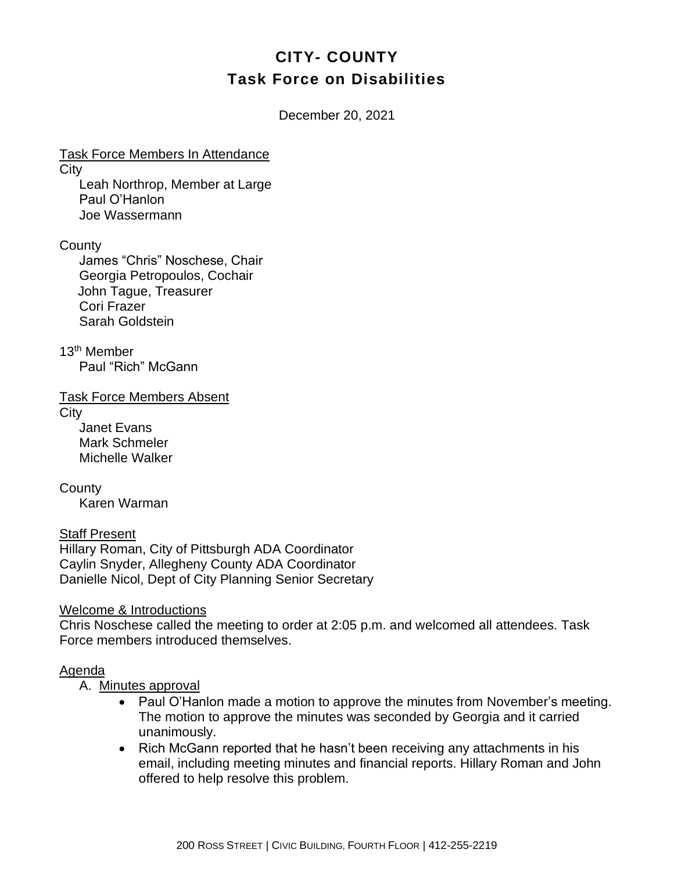# **CITY- COUNTY Task Force on Disabilities**

December 20, 2021

Task Force Members In Attendance **City** 

Leah Northrop, Member at Large Paul O'Hanlon Joe Wassermann

**County** 

James "Chris" Noschese, Chair Georgia Petropoulos, Cochair John Tague, Treasurer Cori Frazer Sarah Goldstein

13th Member Paul "Rich" McGann

Task Force Members Absent

**City** 

Janet Evans Mark Schmeler Michelle Walker

**County** Karen Warman

Staff Present Hillary Roman, City of Pittsburgh ADA Coordinator Caylin Snyder, Allegheny County ADA Coordinator Danielle Nicol, Dept of City Planning Senior Secretary

Welcome & Introductions

Chris Noschese called the meeting to order at 2:05 p.m. and welcomed all attendees. Task Force members introduced themselves.

## Agenda

A. Minutes approval

- Paul O'Hanlon made a motion to approve the minutes from November's meeting. The motion to approve the minutes was seconded by Georgia and it carried unanimously.
- Rich McGann reported that he hasn't been receiving any attachments in his email, including meeting minutes and financial reports. Hillary Roman and John offered to help resolve this problem.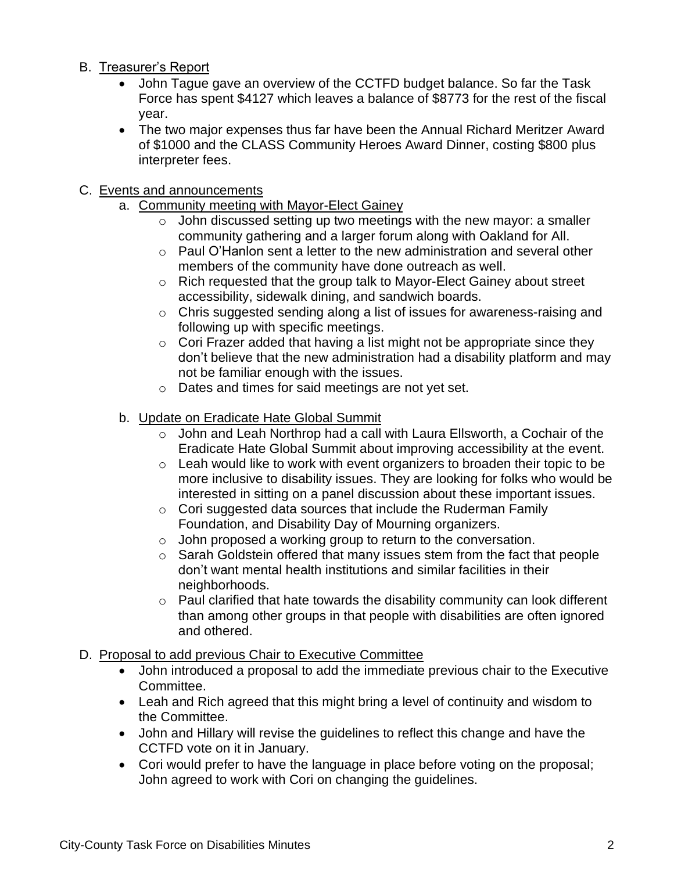- B. Treasurer's Report
	- John Tague gave an overview of the CCTFD budget balance. So far the Task Force has spent \$4127 which leaves a balance of \$8773 for the rest of the fiscal year.
	- The two major expenses thus far have been the Annual Richard Meritzer Award of \$1000 and the CLASS Community Heroes Award Dinner, costing \$800 plus interpreter fees.

### C. Events and announcements

- a. Community meeting with Mayor-Elect Gainey
	- $\circ$  John discussed setting up two meetings with the new mayor: a smaller community gathering and a larger forum along with Oakland for All.
	- $\circ$  Paul O'Hanlon sent a letter to the new administration and several other members of the community have done outreach as well.
	- o Rich requested that the group talk to Mayor-Elect Gainey about street accessibility, sidewalk dining, and sandwich boards.
	- o Chris suggested sending along a list of issues for awareness-raising and following up with specific meetings.
	- $\circ$  Cori Frazer added that having a list might not be appropriate since they don't believe that the new administration had a disability platform and may not be familiar enough with the issues.
	- o Dates and times for said meetings are not yet set.
- b. Update on Eradicate Hate Global Summit
	- o John and Leah Northrop had a call with Laura Ellsworth, a Cochair of the Eradicate Hate Global Summit about improving accessibility at the event.
	- $\circ$  Leah would like to work with event organizers to broaden their topic to be more inclusive to disability issues. They are looking for folks who would be interested in sitting on a panel discussion about these important issues.
	- o Cori suggested data sources that include the Ruderman Family Foundation, and Disability Day of Mourning organizers.
	- o John proposed a working group to return to the conversation.
	- o Sarah Goldstein offered that many issues stem from the fact that people don't want mental health institutions and similar facilities in their neighborhoods.
	- o Paul clarified that hate towards the disability community can look different than among other groups in that people with disabilities are often ignored and othered.
- D. Proposal to add previous Chair to Executive Committee
	- John introduced a proposal to add the immediate previous chair to the Executive Committee.
	- Leah and Rich agreed that this might bring a level of continuity and wisdom to the Committee.
	- John and Hillary will revise the guidelines to reflect this change and have the CCTFD vote on it in January.
	- Cori would prefer to have the language in place before voting on the proposal; John agreed to work with Cori on changing the guidelines.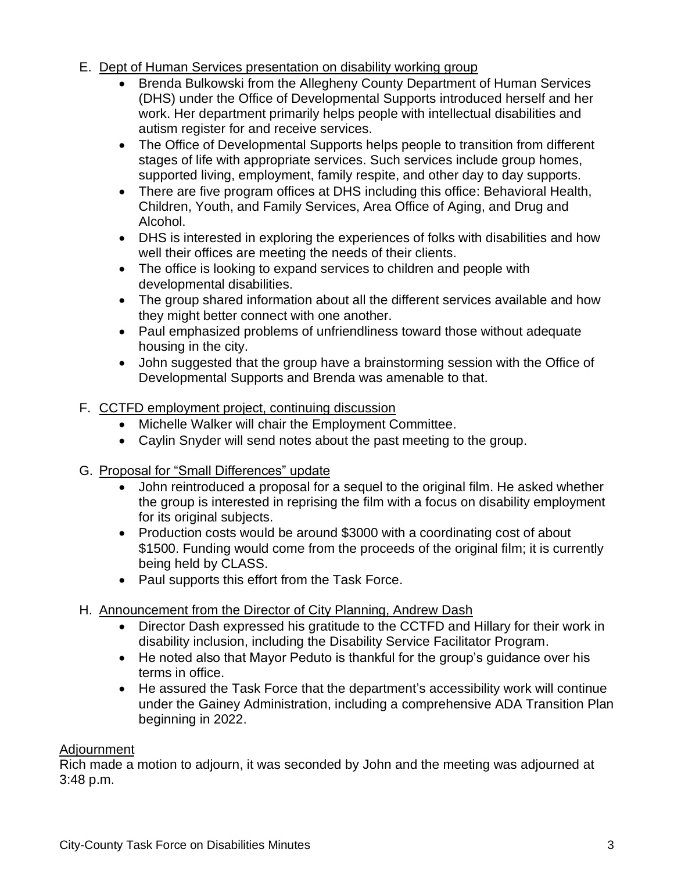- E. Dept of Human Services presentation on disability working group
	- Brenda Bulkowski from the Allegheny County Department of Human Services (DHS) under the Office of Developmental Supports introduced herself and her work. Her department primarily helps people with intellectual disabilities and autism register for and receive services.
	- The Office of Developmental Supports helps people to transition from different stages of life with appropriate services. Such services include group homes, supported living, employment, family respite, and other day to day supports.
	- There are five program offices at DHS including this office: Behavioral Health, Children, Youth, and Family Services, Area Office of Aging, and Drug and Alcohol.
	- DHS is interested in exploring the experiences of folks with disabilities and how well their offices are meeting the needs of their clients.
	- The office is looking to expand services to children and people with developmental disabilities.
	- The group shared information about all the different services available and how they might better connect with one another.
	- Paul emphasized problems of unfriendliness toward those without adequate housing in the city.
	- John suggested that the group have a brainstorming session with the Office of Developmental Supports and Brenda was amenable to that.

#### F. CCTFD employment project, continuing discussion

- Michelle Walker will chair the Employment Committee.
- Caylin Snyder will send notes about the past meeting to the group.
- G. Proposal for "Small Differences" update
	- John reintroduced a proposal for a sequel to the original film. He asked whether the group is interested in reprising the film with a focus on disability employment for its original subjects.
	- Production costs would be around \$3000 with a coordinating cost of about \$1500. Funding would come from the proceeds of the original film; it is currently being held by CLASS.
	- Paul supports this effort from the Task Force.
- H. Announcement from the Director of City Planning, Andrew Dash
	- Director Dash expressed his gratitude to the CCTFD and Hillary for their work in disability inclusion, including the Disability Service Facilitator Program.
	- He noted also that Mayor Peduto is thankful for the group's guidance over his terms in office.
	- He assured the Task Force that the department's accessibility work will continue under the Gainey Administration, including a comprehensive ADA Transition Plan beginning in 2022.

#### **Adjournment**

Rich made a motion to adjourn, it was seconded by John and the meeting was adjourned at 3:48 p.m.